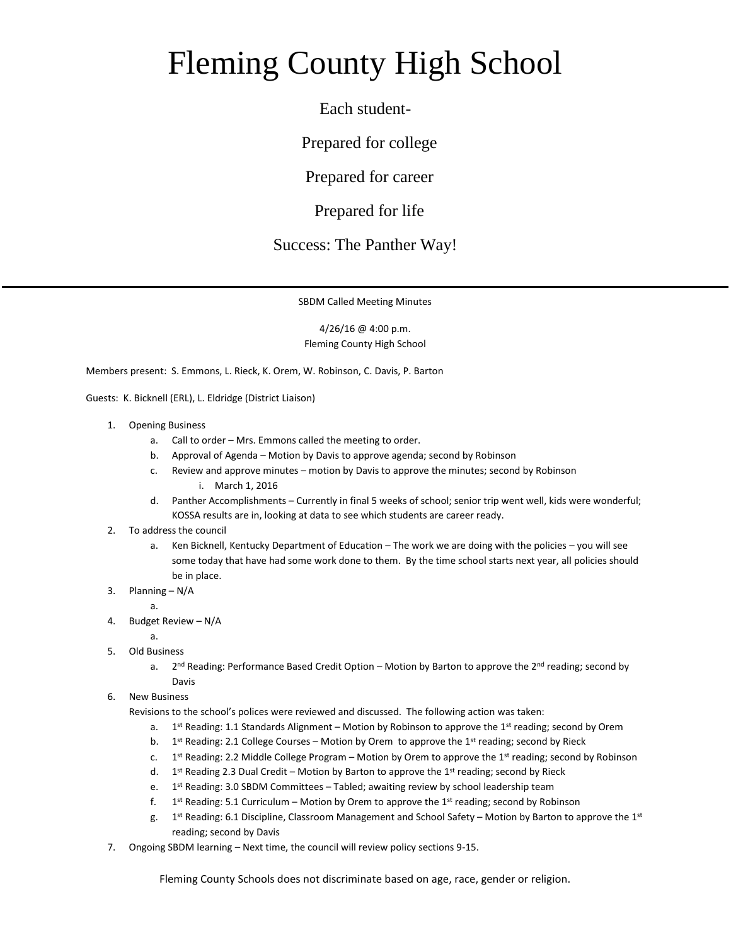## Fleming County High School

Each student-

Prepared for college

Prepared for career

Prepared for life

## Success: The Panther Way!

SBDM Called Meeting Minutes

4/26/16 @ 4:00 p.m. Fleming County High School

Members present: S. Emmons, L. Rieck, K. Orem, W. Robinson, C. Davis, P. Barton

Guests: K. Bicknell (ERL), L. Eldridge (District Liaison)

- 1. Opening Business
	- a. Call to order Mrs. Emmons called the meeting to order.
	- b. Approval of Agenda Motion by Davis to approve agenda; second by Robinson
	- c. Review and approve minutes motion by Davis to approve the minutes; second by Robinson i. March 1, 2016
	- d. Panther Accomplishments Currently in final 5 weeks of school; senior trip went well, kids were wonderful; KOSSA results are in, looking at data to see which students are career ready.
- 2. To address the council
	- a. Ken Bicknell, Kentucky Department of Education The work we are doing with the policies you will see some today that have had some work done to them. By the time school starts next year, all policies should be in place.
- 3. Planning N/A
	- a.
- 4. Budget Review N/A
	- a.
- 5. Old Business
	- a.  $2<sup>nd</sup>$  Reading: Performance Based Credit Option – Motion by Barton to approve the  $2<sup>nd</sup>$  reading; second by Davis
- 6. New Business

Revisions to the school's polices were reviewed and discussed. The following action was taken:

- a. 1st Reading: 1.1 Standards Alignment Motion by Robinson to approve the 1st reading; second by Orem
- b. 1<sup>st</sup> Reading: 2.1 College Courses Motion by Orem to approve the 1<sup>st</sup> reading; second by Rieck
- c. 1st Reading: 2.2 Middle College Program – Motion by Orem to approve the 1st reading; second by Robinson
- d. 1<sup>st</sup> Reading 2.3 Dual Credit Motion by Barton to approve the 1<sup>st</sup> reading; second by Rieck
- e.  $1<sup>st</sup>$  Reading: 3.0 SBDM Committees – Tabled; awaiting review by school leadership team
- f. 1<sup>st</sup> Reading: 5.1 Curriculum – Motion by Orem to approve the 1<sup>st</sup> reading; second by Robinson
- g. 1  $1<sup>st</sup>$  Reading: 6.1 Discipline, Classroom Management and School Safety – Motion by Barton to approve the  $1<sup>st</sup>$ reading; second by Davis
- 7. Ongoing SBDM learning Next time, the council will review policy sections 9-15.

Fleming County Schools does not discriminate based on age, race, gender or religion.